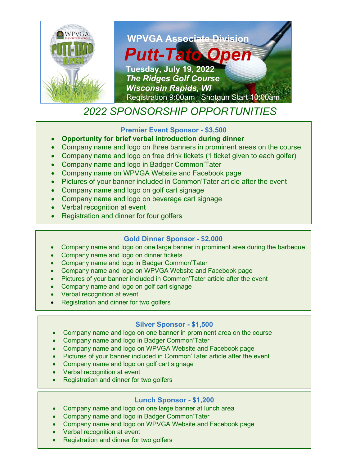

# *2022 SPONSORSHIP OPPORTUNITIES*

### **Premier Event Sponsor - \$3,500**

- **Opportunity for brief verbal introduction during dinner**
- Company name and logo on three banners in prominent areas on the course
- Company name and logo on free drink tickets (1 ticket given to each golfer)
- Company name and logo in Badger Common'Tater
- Company name on WPVGA Website and Facebook page
- Pictures of your banner included in Common'Tater article after the event
- Company name and logo on golf cart signage
- Company name and logo on beverage cart signage
- Verbal recognition at event
- Registration and dinner for four golfers

# **Gold Dinner Sponsor - \$2,000**

- Company name and logo on one large banner in prominent area during the barbeque
- Company name and logo on dinner tickets
- Company name and logo in Badger Common'Tater
- Company name and logo on WPVGA Website and Facebook page
- Pictures of your banner included in Common'Tater article after the event
- Company name and logo on golf cart signage
- Verbal recognition at event
- Registration and dinner for two golfers

#### **Silver Sponsor - \$1,500**

- Company name and logo on one banner in prominent area on the course
- Company name and logo in Badger Common'Tater
- Company name and logo on WPVGA Website and Facebook page
- Pictures of your banner included in Common'Tater article after the event
- Company name and logo on golf cart signage
- Verbal recognition at event
- Registration and dinner for two golfers

# **Lunch Sponsor - \$1,200**

- Company name and logo on one large banner at lunch area
- Company name and logo in Badger Common'Tater
- Company name and logo on WPVGA Website and Facebook page
- **Verbal recognition at event**
- **Registration and dinner for two golfers**